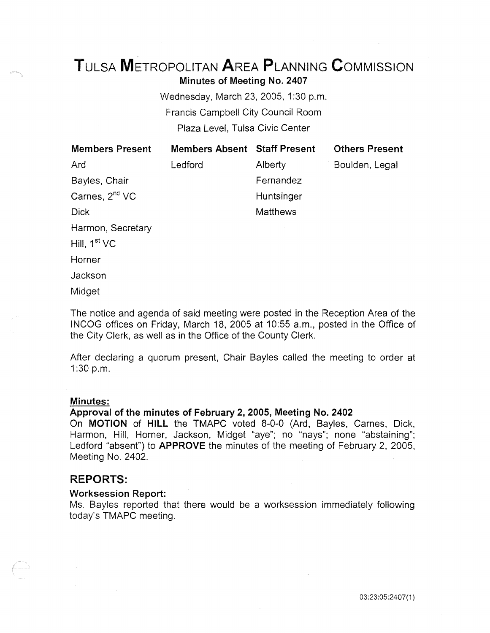# TuLsA METROPOLITAN AREA PLANNING CoMMISSION Minutes of Meeting No. 2407

Wednesday, March 23, 2005, 1:30 p.m. Francis Campbell City Council Room Plaza Level, Tulsa Civic Center

| <b>Members Present</b>     | <b>Members Absent Staff Present</b> |                 | <b>Others Present</b> |
|----------------------------|-------------------------------------|-----------------|-----------------------|
| Ard                        | Ledford                             | Alberty         | Boulden, Legal        |
| Bayles, Chair              |                                     | Fernandez       |                       |
| Carnes, 2 <sup>nd</sup> VC |                                     | Huntsinger      |                       |
| <b>Dick</b>                |                                     | <b>Matthews</b> |                       |
| Harmon, Secretary          |                                     |                 |                       |
| Hill, $1st VC$             |                                     |                 |                       |
| Horner                     |                                     |                 |                       |
| Jackson                    |                                     |                 |                       |

Midget

The notice and agenda of said meeting were posted in the Reception Area of the INCOG offices on Friday, March 18, 2005 at 10:55 a.m., posted in the Office of the City Clerk, as well as in the Office of the County Clerk.

After declaring a quorum present, Chair Bayles called the meeting to order at 1:30 p.m.

#### Minutes:

## Approval of the minutes of February 2, 2005, Meeting No. 2402

On MOTION of HILL the TMAPC voted 8-0-0 (Ard, Bayles, Carnes, Dick, Harmon, Hill, Horner, Jackson, Midget "aye"; no "nays"; none "abstaining"; Ledford "absent") to APPROVE the minutes of the meeting of February 2, 2005, Meeting No. 2402.

# REPORTS:

#### Worksession Report:

Ms. Bayles reported that there would be a worksession immediately following today's TMAPC meeting.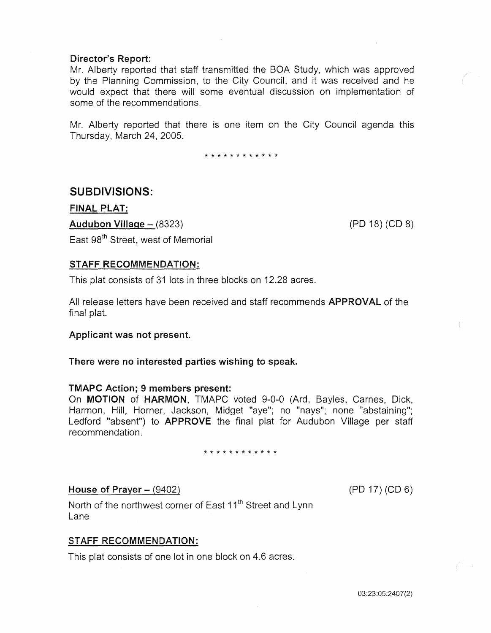# Director's Report:

Mr. Alberty reported that staff transmitted the BOA Study, which was approved by the Planning Commission, to the City Council, and it was received and he would expect that there will some eventual discussion on implementation of some of the recommendations.

Mr. Alberty reported that there is one item on the City Council agenda this Thursday, March 24, 2005.

\* \* \* \* \* \* \* \* \* \* \* \*

# SUBDIVISIONS:

FINAL PLAT:

Audubon Village- (8323) (PO 18) (CD 8)

East 98<sup>th</sup> Street, west of Memorial

# STAFF RECOMMENDATION:

This plat consists of 31 lots in three blocks on 12.28 acres.

All release letters have been received and staff recommends APPROVAL of the final plat.

# Applicant was not present.

There were no interested parties wishing to speak.

# TMAPC Action; 9 members present:

On MOTION of HARMON, TMAPC voted 9-0-0 (Ard, Bayles, Carnes, Dick, Harmon, Hill, Horner, Jackson, Midget "aye"; no "nays"; none "abstaining"; Ledford "absent") to **APPROVE** the final plat for Audubon Village per staff recommendation.

#### \* \* \* \* \* \* \* \* \* \* \* \*

# House of Prayer  $-$  (9402)

(PD 17) (CD 6)

North of the northwest corner of East 11<sup>th</sup> Street and Lynn Lane

# STAFF RECOMMENDATION:

This plat consists of one lot in one block on 4.6 acres.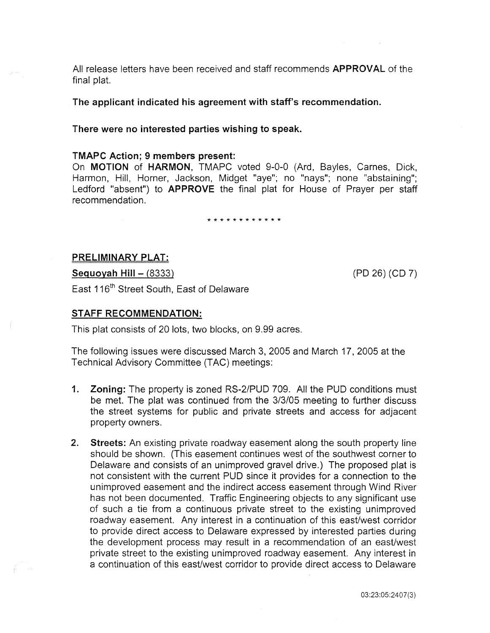All release letters have been received and staff recommends APPROVAL of the final plat.

The applicant indicated his agreement with staff's recommendation.

## There were no interested parties wishing to speak.

#### TMAPC Action; 9 members present:

On MOTION of HARMON, TMAPC voted 9-0-0 (Ard, Bayles, Carnes, Dick, Harmon, Hill, Horner, Jackson, Midget "aye"; no "nays"; none "abstaining"; Ledford "absent") to **APPROVE** the final plat for House of Prayer per staff recommendation.

\* \* \* \* \* \* \* \* \* \* \* \*

# PRELIMINARY PLAT:

Seguoyah Hill- (8333) (PD 26) (CD 7)

East 116<sup>th</sup> Street South, East of Delaware

# STAFF RECOMMENDATION:

This plat consists of 20 lots, two blocks, on 9.99 acres.

The following issues were discussed March 3, 2005 and March 17, 2005 at the Technical Advisory Committee (TAC) meetings:

- 1. Zoning: The property is zoned RS-2/PUD 709. All the PUD conditions must be met. The plat was continued from the 3/3/05 meeting to further discuss the street systems for public and private streets and access for adjacent property owners.
- 2. Streets: An existing private roadway easement along the south property line should be shown. (This easement continues west of the southwest corner to Delaware and consists of an unimproved gravel drive.) The proposed plat is not consistent with the current PUD since *it* provides for a connection to the unimproved easement and the indirect access easement through Wind River has not been documented. Traffic Engineering objects to any significant use of such a tie from a continuous private street to the existing unimproved roadway easement. Any interest in a continuation of this east/west corridor to provide direct access to Delaware expressed by interested parties during the development process may result in a recommendation of an east/west private street to the existing unimproved roadway easement. Any interest in a continuation of this east/west corridor to provide direct access to Delaware

03:23:05:2407(3)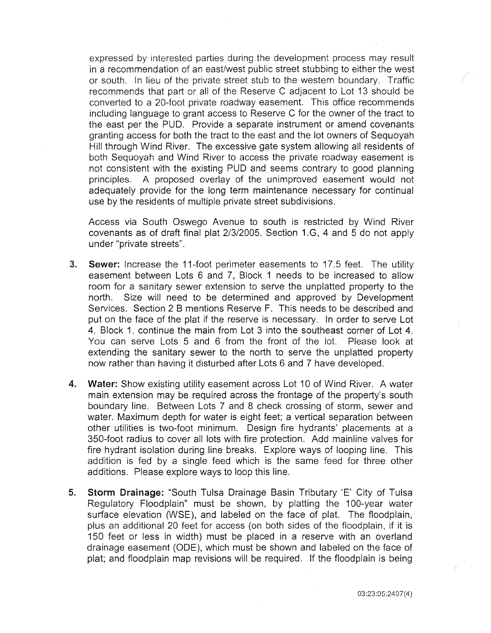expressed by interested parties during the development process may result in a recommendation of an east/west public street stubbing to either the west or south. In lieu of the private street stub to the western boundary. Traffic recommends that part or all of the Reserve C adjacent to Lot 13 should be converted to a 20-foot private roadway easement. This office recommends including language to grant access to Reserve C for the owner of the tract to the east per the PUD. Provide a separate instrument or amend covenants granting access for both the tract to the east and the lot owners of Sequoyah Hill through Wind River. The excessive gate system allowing all residents of both Sequoyah and Wind River to access the private roadway easement is not consistent with the existing PUD and seems contrary to good planning principles. A proposed overlay of the unimproved easement would not adequately provide for the long term maintenance necessary for continual use by the residents of multiple private street subdivisions.

Access via South Oswego Avenue to south is restricted by Wind River covenants as of draft final plat 2/3/2005. Section 1.G, 4 and 5 do not apply under "private streets".

- 3. Sewer: Increase the 11-foot perimeter easements to 17.5 feet. The utility easement between Lots 6 and 7, Block 1 needs to be increased to allow room for a sanitary sewer extension to serve the unplatted property to the north. Size will need to be determined and approved by Development Services. Section 2 B mentions Reserve F. This needs to be described and put on the face of the plat if the reserve is necessary. In order to serve Lot 4, Block 1, continue the main from Lot 3 into the southeast corner of Lot 4. You can serve Lots 5 and 6 from the front of the lot. Please look at extending the sanitary sewer to the north to serve the unplatted property now rather than having it disturbed after Lots 6 and 7 have developed.
- 4. Water: Show existing utility easement across Lot 10 of Wind River. A water main extension may be required across the frontage of the property's south boundary line. Between Lots 7 and 8 check crossing of storm, sewer and water. Maximum depth for water is eight feet; a vertical separation between other utilities is two-foot minimum. Design fire hydrants' placements at a 350-foot radius to cover all lots with fire protection. Add mainline valves for fire hydrant isolation during line breaks. Explore ways of looping line. This addition is fed by a single feed which is the same feed for three other additions. Please explore ways to loop this line.
- 5. Storm Drainage: "South Tulsa Drainage Basin Tributary 'E' City of Tulsa Regulatory Floodplain" must be shown, by platting the 1 00-year water surface elevation (WSE), and labeled on the face of plat. The floodplain, plus an additional 20 feet for access (on both sides of the floodplain, if it is 150 feet or less in width) must be placed in a reserve with an overland drainage easement (ODE), which must be shown and labeled on the face of plat; and floodplain map revisions will be required. If the floodplain is being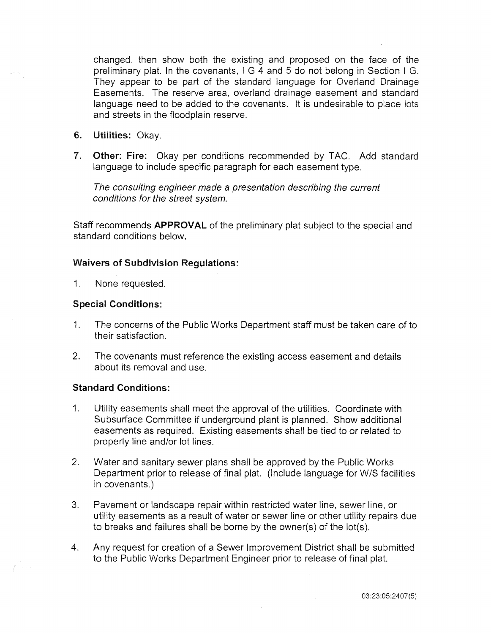changed, then show both the existing and proposed on the face of the preliminary plat. In the covenants, I G 4 and 5 do not belong in Section I G. They appear to be part of the standard language for Overland Drainage Easements. The reserve area, overland drainage easement and standard language need to be added to the covenants. It is undesirable to place lots and streets in the floodplain reserve.

- 6. Utilities: Okay.
- 7. Other: Fire: Okay per conditions recommended by TAC. Add standard language to include specific paragraph for each easement type.

The consulting engineer made a presentation describing the current conditions for the street system.

Staff recommends APPROVAL of the preliminary plat subject to the special and standard conditions below.

# Waivers of Subdivision Regulations:

1. None requested.

# Special Conditions:

- 1. The concerns of the Public Works Department staff must be taken care of to their satisfaction.
- 2. The covenants must reference the existing access easement and details about its removal and use.

## Standard Conditions:

- 1. Utility easements shall meet the approval of the utilities. Coordinate with Subsurface Committee if underground plant is planned. Show additional easements as required. Existing easements shall be tied to or related to property line and/or lot lines.
- 2. Water and sanitary sewer plans shall be approved by the Public Works Department prior to release of final plat. (Include language for W/S facilities in covenants.)
- 3. Pavement or landscape repair within restricted water line, sewer line, or utility easements as a result of water or sewer line or other utility repairs due to breaks and failures shall be borne by the owner(s) of the lot(s).
- 4. Any request for creation of a Sewer Improvement District shall be submitted to the Public Works Department Engineer prior to release of final plat.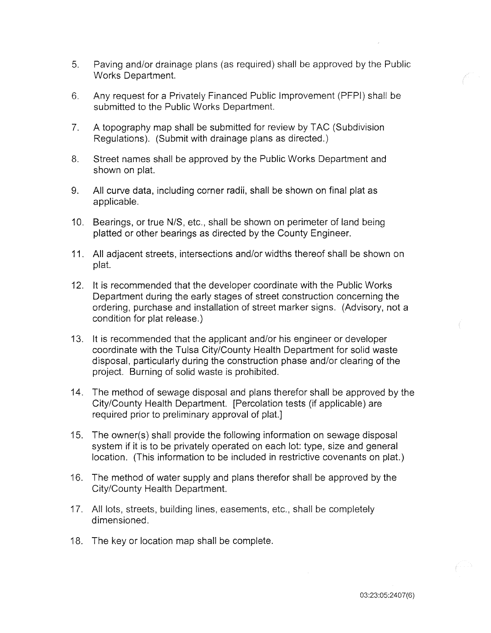- 5. Paving and/or drainage plans (as required) shall be approved by the Public Works Department.
- 6. Any request for a Privately Financed Public Improvement (PFPI) shall be submitted to the Public Works Department.
- 7. A topography map shall be submitted for review by TAC (Subdivision Regulations). (Submit with drainage plans as directed.)
- 8. Street names shall be approved by the Public Works Department and shown on plat.
- 9. All curve data, including corner radii, shall be shown on final plat as applicable.
- 10. Bearings, or true N/S, etc., shall be shown on perimeter of land being platted or other bearings as directed by the County Engineer.
- 11. All adjacent streets, intersections and/or widths thereof shall be shown on plat.
- 12. It is recommended that the developer coordinate with the Public Works Department during the early stages of street construction concerning the ordering, purchase and installation of street marker signs. (Advisory, not a condition for plat release.)
- 13. It is recommended that the applicant and/or his engineer or developer coordinate with the Tulsa City/County Health Department for solid waste disposal, particularly during the construction phase and/or clearing of the project. Burning of solid waste is prohibited.
- 14. The method of sewage disposal and plans therefor shall be approved by the City/County Health Department. [Percolation tests (if applicable) are required prior to preliminary approval of plat.]
- 15. The owner(s) shall provide the following information on sewage disposal system if it is to be privately operated on each lot: type, size and general location. (This information to be included in restrictive covenants on plat.)
- 16. The method of water supply and plans therefor shall be approved by the City/County Health Department.
- 17. All lots, streets, building lines, easements, etc., shall be completely dimensioned.
- 18. The key or location map shall be complete.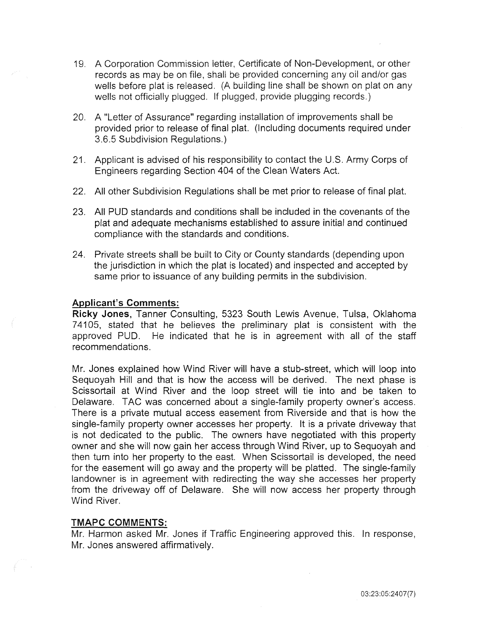- 19. A Corporation Commission ietter, Certificate of Non-Development, or other records as may be on file, shall be provided concerning any oil and/or gas wells before plat is released. (A building line shall be shown on plat on any wells not officially plugged. If plugged, provide plugging records.)
- 20. A "Letter of Assurance" regarding installation of improvements shall be provided prior to release of final plat. (Including documents required under 3.6.5 Subdivision Regulations.)
- 21. Applicant is advised of his responsibility to contact the U.S. Army Corps of Engineers regarding Section 404 of the Clean Waters Act.
- 22. All other Subdivision Regulations shall be met prior to release of final plat.
- 23. All PUD standards and conditions shall be included in the covenants of the plat and adequate mechanisms established to assure initial and continued compliance with the standards and conditions.
- 24. Private streets shall be built to City or County standards (depending upon the jurisdiction in which the plat is located) and inspected and accepted by same prior to issuance of any building permits in the subdivision.

# **Applicant's Comments:**

**Ricky Jones,** Tanner Consulting, 5323 South Lewis Avenue, Tulsa, Oklahoma 7 41 05, stated that he believes the preliminary plat is consistent with the approved PUD. He indicated that he is in agreement with all of the staff recommendations.

Mr. Jones explained how Wind River will have a stub-street, which will loop into Sequoyah Hill and that is how the access will be derived. The next phase is Scissortail at Wind River and the loop street will tie into and be taken to Delaware. TAC was concerned about a single-family property owner's access. There is a private mutual access easement from Riverside and that is how the single-family property owner accesses her property. It is a private driveway that is not dedicated to the public. The owners have negotiated with this property owner and she will now gain her access through Wind River, up to Sequoyah and then turn into her property to the east. When Scissortail is developed, the need for the easement will go away and the property will be platted. The single-family landowner is in agreement with redirecting the way she accesses her property from the driveway off of Delaware. She will now access her property through Wind River.

# TMAPC COMMENTS:

Mr. Harmon asked Mr. Jones if Traffic Engineering approved this. In response, Mr. Jones answered affirmatively.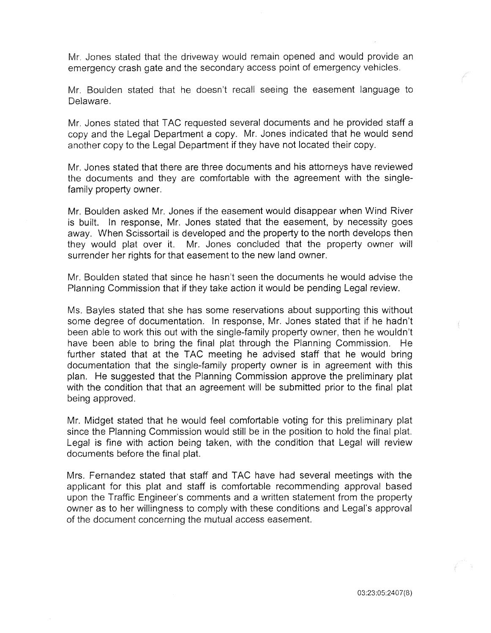Mr. Jones stated that the driveway would remain opened and would provide an emergency crash gate and the secondary access point of emergency vehicles.

Mr. Boulden stated that he doesn't recall seeing the easement language to Delaware.

Mr. Jones stated that TAC requested several documents and he provided staff a copy and the Legal Department a copy. Mr. Jones indicated that he would send another copy to the Legal Department if they have not located their copy.

Mr. Jones stated that there are three documents and his attorneys have reviewed the documents and they are comfortable with the agreement with the singlefamily property owner.

Mr. Boulden asked Mr. Jones if the easement would disappear when Wind River is built. In response, Mr. Jones stated that the easement, by necessity goes away. When Scissortail is developed and the property to the north develops then they would plat over it. Mr. Jones concluded that the property owner will surrender her rights for that easement to the new land owner.

Mr. Boulden stated that since he hasn't seen the documents he would advise the Planning Commission that if they take action it would be pending Legal review.

Ms. Bayles stated that she has some reservations about supporting this without some degree of documentation. In response, Mr. Jones stated that if he hadn't been able to work this out with the single-family property owner, then he wouldn't have been able to bring the final plat through the Planning Commission. He further stated that at the TAC meeting he advised staff that he would bring documentation that the single-family property owner is in agreement with this plan. He suggested that the Planning Commission approve the preliminary plat with the condition that that an agreement will be submitted prior to the final plat being approved.

Mr. Midget stated that he would feel comfortable voting for this preliminary plat since the Planning Commission would still be in the position to hold the final plat. Legal is fine with action being taken, with the condition that Legal will review documents before the final plat.

Mrs. Fernandez stated that staff and TAC have had several meetings with the applicant for this plat and staff is comfortable recommending approval based upon the Traffic Engineer's comments and a written statement from the property owner as to her willingness to comply with these conditions and Legal's approval of the document concerning the mutual access easement.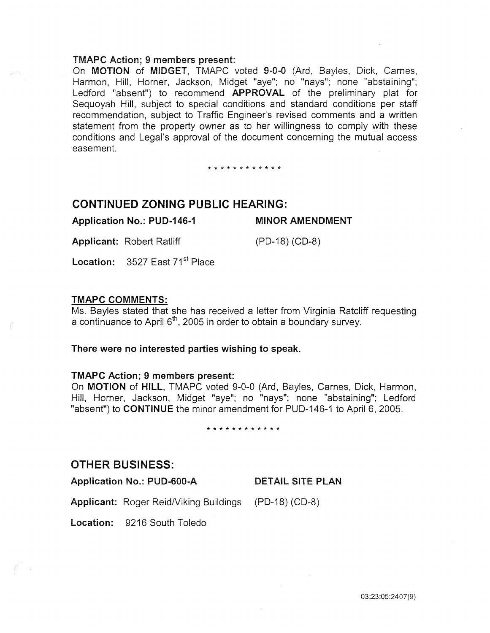#### TMAPC Action; 9 members present:

On MOTION of MIDGET, TMAPC voted 9-0-0 (Ard, Bayles, Dick, Carnes, Harmon, Hill, Horner, Jackson, Midget "aye"; no "nays"; none "abstaining"; Ledford "absent") to recommend APPROVAL of the preliminary plat for Sequoyah Hill, subject to special conditions and standard conditions per staff recommendation, subject to Traffic Engineer's revised comments and a written statement from the property owner as to her willingness to comply with these conditions and Legal's approval of the document concerning the mutual access easement.

\* \* \* \* \* \* \* \* \* \* \* \*

# CONTINUED ZONING PUBLIC HEARING:

Application No.: PUD-146-1 Applicant: Robert Ratliff MINOR AMENDMENT (PD-18) (CD-8)

Location:  $3527$  East  $71<sup>st</sup>$  Place

# TMAPC COMMENTS:

Ms. Bayles stated that she has received a letter from Virginia Ratcliff requesting a continuance to April 6 $^{\text{th}}$ , 2005 in order to obtain a boundary survey.

#### There were no interested parties wishing to speak.

#### TMAPC Action; 9 members present:

On MOTION of HILL, TMAPC voted 9-0-0 (Ard, Bayles, Carnes, Dick, Harmon, Hill, Horner, Jackson, Midget "aye"; no "nays"; none "abstaining"; Ledford "absent") to CONTINUE the minor amendment for PUD-146-1 to April 6, 2005.

\* \* \* \* \* \* \* \* \* \* \* \*

# OTHER BUSINESS:

Application No.: PUD-600-A DETAIL SITE PLAN

Applicant: Roger Reid/Viking Buildings (PD-18) (CD-8)

Location: 9216 South Toledo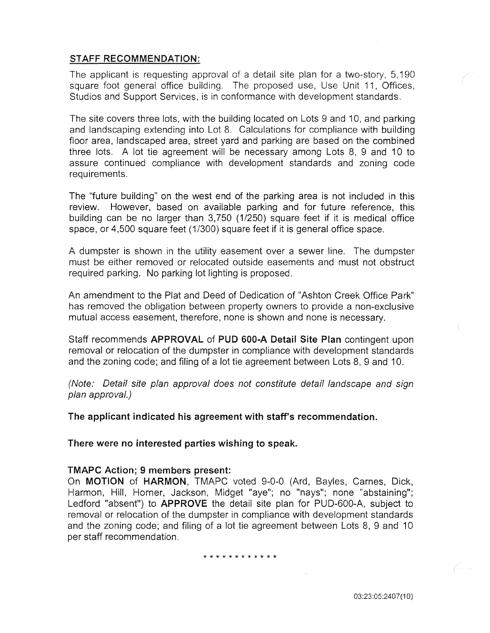# STAFF RECOMMENDATION:

The applicant is requesting approval of a detail site plan for a two-story, 5,190 square foot general office building. The proposed use, Use Unit 11, Offices, Studios and Support Services, is in conformance with development standards.

The site covers three lots, with the building located on Lots 9 and 10, and parking and landscaping extending into Lot 8. Calculations for compliance with building floor area, landscaped area, street yard and parking are based on the combined three lots. A lot tie agreement will be necessary among Lots 8, 9 and 10 to assure continued compliance with development standards and zoning code requirements.

The "future building" on the west end of the parking area is not included in this review. However, based on available parking and for future reference, this building can be no larger than 3,750 (1/250) square feet if it is medical office space, or 4,500 square feet (1/300) square feet if it is general office space.

A dumpster is shown in the utility easement over a sewer line. The dumpster must be either removed or relocated outside easements and must not obstruct required parking. No parking lot lighting is proposed.

An amendment to the Plat and Deed of Dedication of "Ashton Creek Office Park" has removed the obligation between property owners to provide a non-exclusive mutual access easement, therefore, none is shown and none is necessary.

Staff recommends APPROVAL of PUD 600-A Detail Site Plan contingent upon removal or relocation of the dumpster in compliance with development standards and the zoning code; and filing of a lot tie agreement between Lots 8, 9 and 10.

(Note: Detail site plan approval does not constitute detail landscape and sign plan approval.)

The applicant indicated his agreement with staff's recommendation.

There were no interested parties wishing to speak.

#### TMAPC Action; 9 members present:

On MOTION of HARMON, TMAPC voted 9-0-0 (Ard, Bayles, Carnes, Dick, Harmon, Hill, Horner, Jackson, Midget "aye"; no "nays"; none "abstaining"; Ledford "absent") to APPROVE the detail site plan for PUD-600-A, subject to removal or relocation of the dumpster in compliance with development standards and the zoning code; and filing of a lot tie agreement between Lots 8, 9 and 10 per staff recommendation.

\* \* \* \* \* \* \* \* \* \* \* \*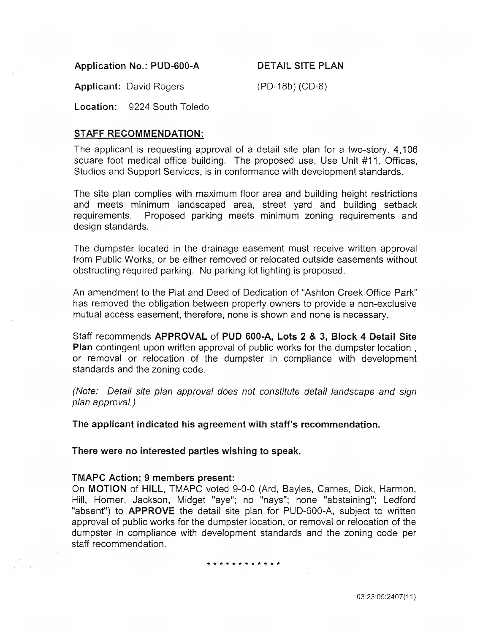Application No.: PUD-600-A DETAIL SITE PLAN

Applicant: David Rogers (PD-18b) (CD-8)

Location: 9224 South Toledo

# STAFF RECOMMENDATION:

The applicant is requesting approval of a detail site plan for a two-story, 4,106 square foot medical office building. The proposed use, Use Unit #11, Offices, Studios and Support Services, is in conformance with development standards.

The site plan complies with maximum floor area and building height restrictions and meets minimum landscaped area, street yard and building setback requirements. Proposed parking meets minimum zoning requirements and design standards.

The dumpster located in the drainage easement must receive written approval from Public Works, or be either removed or relocated outside easements without obstructing required parking. No parking lot lighting is proposed.

An amendment to the Plat and Deed of Dedication of "Ashton Creek Office Park" has removed the obligation between property owners to provide a non-exclusive mutual access easement, therefore, none is shown and none is necessary.

Staff recommends APPROVAL of PUD 600-A, Lots 2 & 3, Block 4 Detail Site Plan contingent upon written approval of public works for the dumpster location, or removal or relocation of the dumpster in compliance with development standards and the zoning code.

(Note: Detail site plan approval does not constitute detail landscape and sign plan approval.)

The applicant indicated his agreement with staff's recommendation.

There were no interested parties wishing to speak.

# TMAPC Action; 9 members present:

On MOTION of HILL, TMAPC voted 9-0-0 (Ard, Bayles, Carnes, Dick, Harmon, Hill, Horner, Jackson, Midget "aye"; no "nays"; none "abstaining"; Ledford "absent") to **APPROVE** the detail site plan for PUD-600-A, subject to written approval of public works for the dumpster location, or removal or relocation of the dumpster in compliance with development standards and the zoning code per staff recommendation.

#### \* \* \* \* \* \* \* \* \* \* \* \*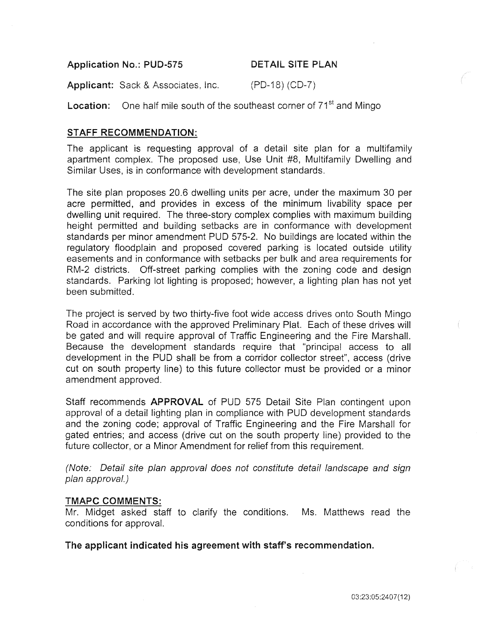Application No.: PUD-575 DETAIL SITE PLAN

Applicant: Sack & Associates, Inc. (PD-18) (CD-7)

**Location:** One half mile south of the southeast corner of  $71<sup>st</sup>$  and Mingo

# STAFF RECOMMENDATION:

The applicant is requesting approval of a detail site plan for a multifamily apartment complex. The proposed use, Use Unit #8, Multifamily Dwelling and Similar Uses, is in conformance with development standards.

The site plan proposes 20.6 dwelling units per acre, under the maximum 30 per acre permitted, and provides in excess of the minimum livability space per dwelling unit required. The three-story complex complies with maximum building height permitted and building setbacks are in conformance with development standards per minor amendment PUD 575-2. No buildings are located within the regulatory floodplain and proposed covered parking is located outside utility easements and in conformance with setbacks per bulk and area requirements for RM-2 districts. Off-street parking complies with the zoning code and design standards. Parking lot lighting is proposed; however, a lighting plan has not yet been submitted.

The project is served by two thirty-five foot wide access drives onto South Mingo Road in accordance with the approved Preliminary Plat. Each of these drives will be gated and will require approval of Traffic Engineering and the Fire MarshalL Because the development standards require that "principal access to all development in the PUD shall be from a corridor collector street", access (drive cut on south property line) to this future collector must be provided or a minor amendment approved.

Staff recommends **APPROVAL** of PUD 575 Detail Site Plan contingent upon approval of a detail lighting plan in compliance with PUD development standards and the zoning code; approval of Traffic Engineering and the Fire Marshall for gated entries; and access (drive cut on the south property line) provided to the future collector, or a Minor Amendment for relief from this requirement.

(Note: Detail site plan approval does not constitute detail landscape and sign plan approval.)

#### TMAPC COMMENTS:

Mr. Midget asked staff to clarify the conditions. Ms. Matthews read the conditions for approval.

The applicant indicated his agreement with staff's recommendation.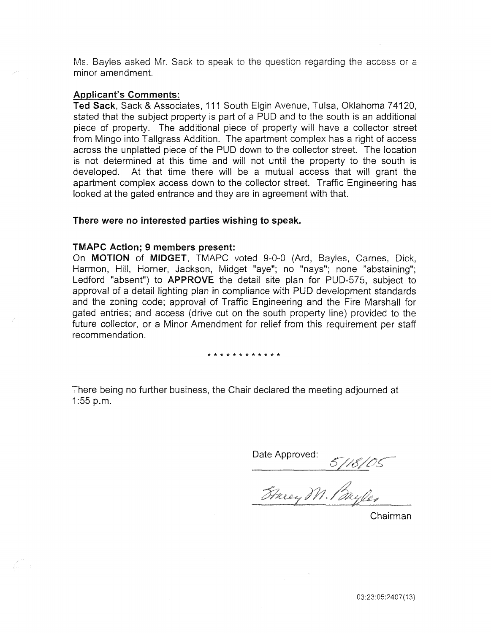Ms. Bayles asked Mr. Sack to speak to the question regarding the access or a minor amendment.

#### Applicant's Comments:

Ted Sack, Sack & Associates, 111 South Elgin Avenue, Tulsa, Oklahoma 74120, stated that the subject property is part of a PUD and to the south is an additional piece of property. The additional piece of property will have a collector street from Mingo into Tallgrass Addition. The apartment complex has a right of access across the unplatted piece of the PUD down to the collector street. The location is not determined at this time and will not until the property to the south is developed. At that time there will be a mutual access that will grant the apartment complex access down to the collector street. Traffic Engineering has looked at the gated entrance and they are in agreement with that.

## There were no interested parties wishing to speak.

#### TMAPC Action; 9 members present:

On MOTION of MIDGET, TMAPC voted 9-0-0 (Ard, Bayles, Carnes, Dick, Harmon, Hiil, Horner, Jackson, Midget "aye"; no "nays"; none "abstaining"; Ledford "absent") to APPROVE the detail site plan for PUD-575, subject to approval of a detail lighting plan in compliance with PUD development standards and the zoning code; approval of Traffic Engineering and the Fire Marshall for gated entries; and access (drive cut on the south property line) provided to the future collector, or a Minor Amendment for relief from this requirement per staff recommendation.

#### \* \* \* \* \* \* \* \* \* \* \* \*

There being no further business, the Chair declared the meeting adjourned at 1:55 p.m.

Date Approved: 5/18/05<br>Stacey M. Bayles

Chairman